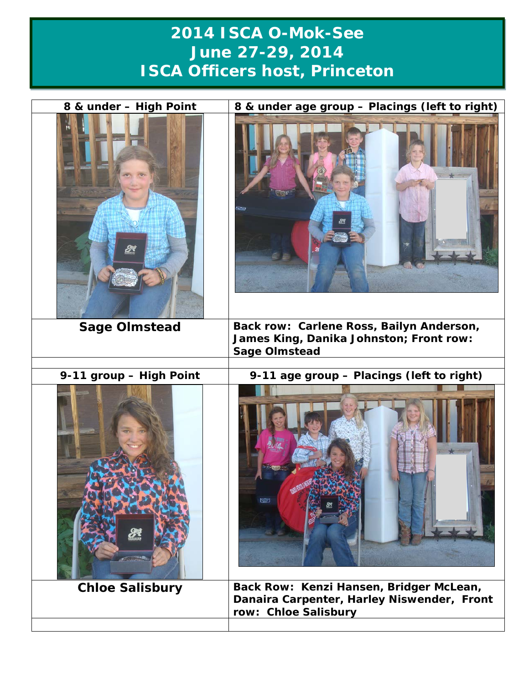## **2014 ISCA O-Mok-See June 27-29, 2014 ISCA Officers host, Princeton**

| 8 & under - High Point  | 8 & under age group - Placings (left to right)<br>53                                                          |
|-------------------------|---------------------------------------------------------------------------------------------------------------|
| <b>Sage Olmstead</b>    | Back row: Carlene Ross, Bailyn Anderson,<br>James King, Danika Johnston; Front row:<br><b>Sage Olmstead</b>   |
|                         |                                                                                                               |
| 9-11 group - High Point | 9-11 age group - Placings (left to right)<br>e                                                                |
| <b>Chloe Salisbury</b>  | Back Row: Kenzi Hansen, Bridger McLean,<br>Danaira Carpenter, Harley Niswender, Front<br>row: Chloe Salisbury |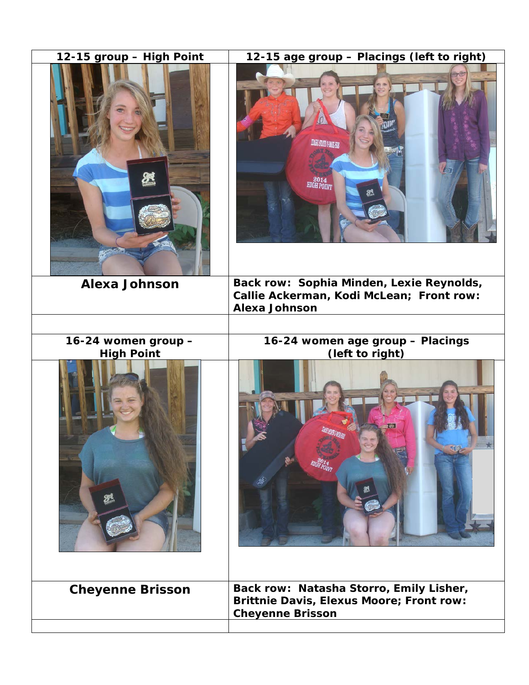| 12-15 group - High Point                 | 12-15 age group - Placings (left to right)                                                                            |
|------------------------------------------|-----------------------------------------------------------------------------------------------------------------------|
|                                          | <b>DAHO STATE O-MOR SKA</b><br>$^{2014}_{\text{HIGH POINT}}$                                                          |
| <b>Alexa Johnson</b>                     | Back row: Sophia Minden, Lexie Reynolds,<br>Callie Ackerman, Kodi McLean; Front row:<br><b>Alexa Johnson</b>          |
|                                          |                                                                                                                       |
| 16-24 women group -<br><b>High Point</b> | 16-24 women age group - Placings<br>(left to right)                                                                   |
| $\sum$                                   |                                                                                                                       |
| <b>Cheyenne Brisson</b>                  | Back row: Natasha Storro, Emily Lisher,<br><b>Brittnie Davis, Elexus Moore; Front row:</b><br><b>Cheyenne Brisson</b> |
|                                          |                                                                                                                       |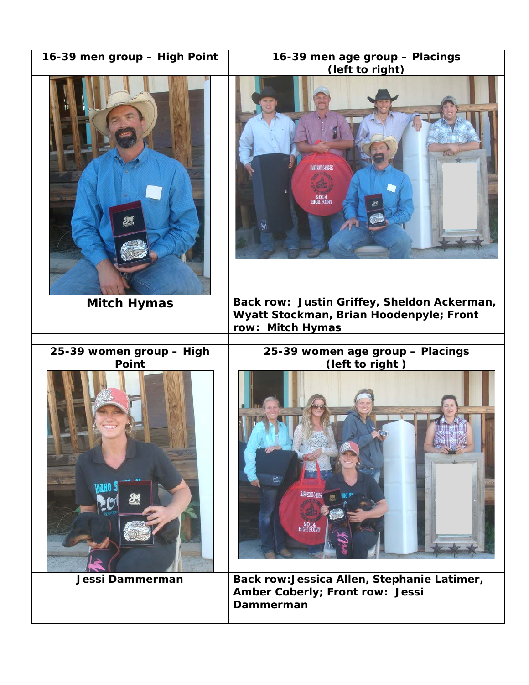| 16-39 men group - High Point             | 16-39 men age group - Placings<br>(left to right)           |
|------------------------------------------|-------------------------------------------------------------|
|                                          | <b>HIGH POIN</b>                                            |
| <b>Mitch Hymas</b>                       | Back row: Justin Griffey, Sheldon Ackerman,                 |
|                                          | Wyatt Stockman, Brian Hoodenpyle; Front<br>row: Mitch Hymas |
|                                          |                                                             |
| 25-39 women group - High<br><b>Point</b> | 25-39 women age group - Placings<br>(left to right)         |
|                                          |                                                             |
|                                          | 2014<br>HIGH POINT                                          |